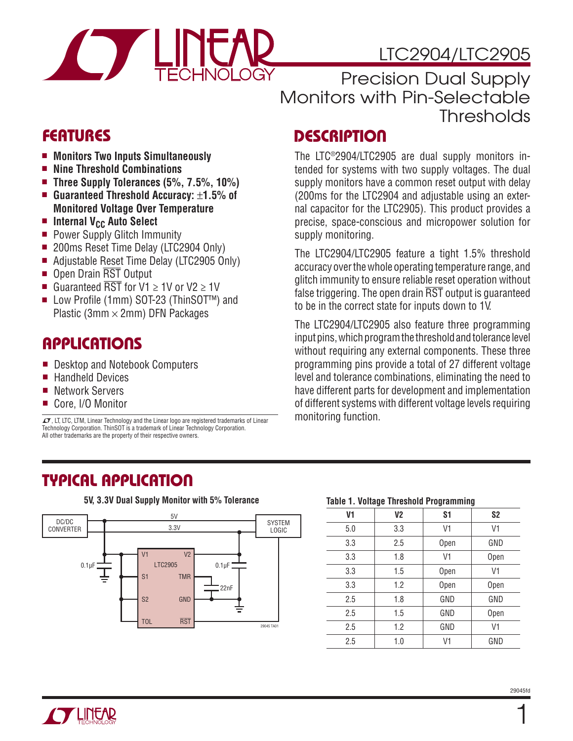

Precision Dual Supply Monitors with Pin-Selectable **Thresholds** 

### **FEATURES**

- $\blacksquare$  Monitors Two Inputs Simultaneously
- Nine Threshold Combinations
- Three Supply Tolerances (5%, 7.5%, 10%)
- Guaranteed Threshold Accuracy: ±1.5% of **Monitored Voltage Over Temperature**
- **n** Internal V<sub>CC</sub> Auto Select
- **Power Supply Glitch Immunity**
- 200ms Reset Time Delay (LTC2904 Only)
- Adjustable Reset Time Delay (LTC2905 Only)
- Open Drain RST Output
- Guaranteed  $\overline{\text{RST}}$  for V1  $\geq$  1V or V2  $\geq$  1V
- Low Profile (1mm) SOT-23 (ThinSOT<sup>™</sup>) and Plastic (3mm  $\times$  2mm) DFN Packages

### **APPLICATIONS**

- Desktop and Notebook Computers
- **Handheld Devices**
- Network Servers
- Core, I/O Monitor

 $I$ , LT, LTC, LTM, Linear Technology and the Linear logo are registered trademarks of Linear Technology Corporation. ThinSOT is a trademark of Linear Technology Corporation. All other trademarks are the property of their respective owners.

**TYPICAL APPLICATION**



#### **5V, 3.3V Dual Supply Monitor with 5% Tolerance**

# **DESCRIPTION**

The LTC®2904/LTC2905 are dual supply monitors intended for systems with two supply voltages. The dual supply monitors have a common reset output with delay (200ms for the LTC2904 and adjustable using an external capacitor for the LTC2905). This product provides a precise, space-conscious and micropower solution for supply monitoring.

The LTC2904/LTC2905 feature a tight 1.5% threshold accuracy over the whole operating temperature range, and glitch immunity to ensure reliable reset operation without false triggering. The open drain RST output is guaranteed to be in the correct state for inputs down to 1V.

The LTC2904/LTC2905 also feature three programming input pins, which program the threshold and tolerance level without requiring any external components. These three programming pins provide a total of 27 different voltage level and tolerance combinations, eliminating the need to have different parts for development and implementation of different systems with different voltage levels requiring monitoring function.

#### **Table 1. Voltage Threshold Programming**

| V1  | V <sub>2</sub> | S <sub>1</sub> | S <sub>2</sub> |
|-----|----------------|----------------|----------------|
| 5.0 | 3.3            | V1             | V1             |
| 3.3 | 2.5            | Open           | GND            |
| 3.3 | 1.8            | V1             | Open           |
| 3.3 | 1.5            | Open           | V1             |
| 3.3 | 1.2            | Open           | Open           |
| 2.5 | 1.8            | GND            | GND            |
| 2.5 | 1.5            | GND            | Open           |
| 2.5 | 1.2            | GND            | V1             |
| 2.5 | 1.0            | V1             | GND            |

1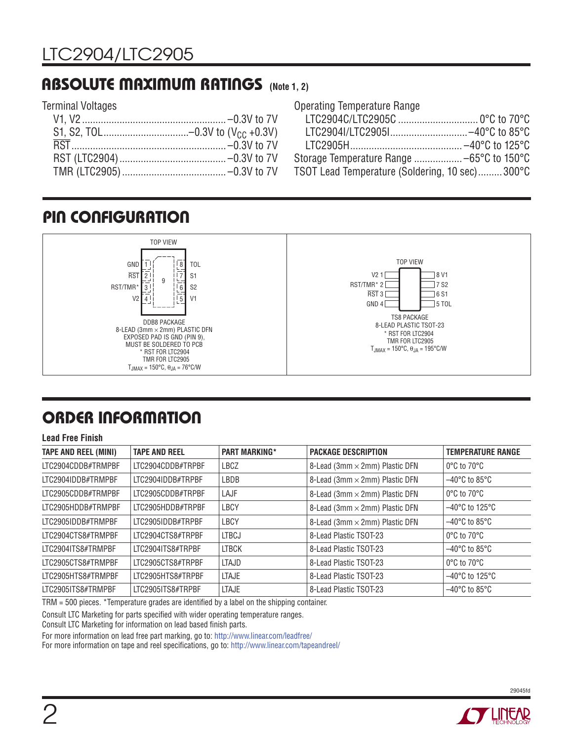### **ABSOLUTE MAXIMUM RATINGS (Note 1, 2)**

### Terminal Voltages

| <b>Operating Temperature Range</b>             |  |
|------------------------------------------------|--|
|                                                |  |
|                                                |  |
|                                                |  |
|                                                |  |
| TSOT Lead Temperature (Soldering, 10 sec)300°C |  |

### **PIN CONFIGURATION**



# **ORDER INFORMATION**

#### **Lead Free Finish**

| <b>TAPE AND REEL (MINI)</b> | <b>TAPE AND REEL</b> | <b>PART MARKING*</b> | <b>PACKAGE DESCRIPTION</b>     | <b>TEMPERATURE RANGE</b>            |
|-----------------------------|----------------------|----------------------|--------------------------------|-------------------------------------|
| LTC2904CDDB#TRMPBF          | LTC2904CDDB#TRPBF    | LBCZ                 | 8-Lead (3mm × 2mm) Plastic DFN | $0^{\circ}$ C to $70^{\circ}$ C     |
| LTC2904IDDB#TRMPBF          | LTC2904IDDB#TRPBF    | LBDB                 | 8-Lead (3mm × 2mm) Plastic DFN | $-40^{\circ}$ C to 85 $^{\circ}$ C  |
| LTC2905CDDB#TRMPBF          | LTC2905CDDB#TRPBF    | LAJF                 | 8-Lead (3mm × 2mm) Plastic DFN | $0^{\circ}$ C to $70^{\circ}$ C     |
| LTC2905HDDB#TRMPBF          | LTC2905HDDB#TRPBF    | LBCY                 | 8-Lead (3mm × 2mm) Plastic DFN | $-40^{\circ}$ C to 125 $^{\circ}$ C |
| LTC2905IDDB#TRMPBF          | LTC2905IDDB#TRPBF    | LBCY                 | 8-Lead (3mm × 2mm) Plastic DFN | $-40^{\circ}$ C to 85 $^{\circ}$ C  |
| LTC2904CTS8#TRMPBF          | LTC2904CTS8#TRPBF    | <b>LTBCJ</b>         | 8-Lead Plastic TSOT-23         | $0^{\circ}$ C to $70^{\circ}$ C     |
| LTC2904ITS8#TRMPBF          | LTC2904ITS8#TRPBF    | <b>LTBCK</b>         | 8-Lead Plastic TSOT-23         | $-40^{\circ}$ C to 85 $^{\circ}$ C  |
| LTC2905CTS8#TRMPBF          | LTC2905CTS8#TRPBF    | LTAJD                | 8-Lead Plastic TSOT-23         | $0^{\circ}$ C to $70^{\circ}$ C     |
| LTC2905HTS8#TRMPBF          | LTC2905HTS8#TRPBF    | <b>LTAJE</b>         | 8-Lead Plastic TSOT-23         | $-40^{\circ}$ C to 125 $^{\circ}$ C |
| LTC2905ITS8#TRMPBF          | LTC2905ITS8#TRPBF    | <b>LTAJE</b>         | 8-Lead Plastic TSOT-23         | $-40^{\circ}$ C to 85 $^{\circ}$ C  |

TRM = 500 pieces. \*Temperature grades are identified by a label on the shipping container.

Consult LTC Marketing for parts specified with wider operating temperature ranges.

Consult LTC Marketing for information on lead based finish parts.

For more information on lead free part marking, go to: http://www.linear.com/leadfree/

For more information on tape and reel specifications, go to: http://www.linear.com/tapeandreel/



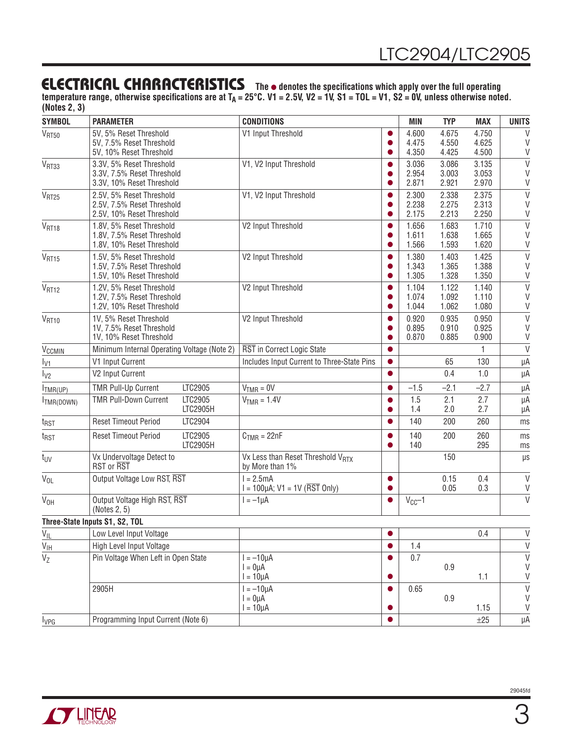### **ELECTRICAL CHARACTERISTICS** The  $\bullet$  denotes the specifications which apply over the full operating

temperature range, otherwise specifications are at T<sub>A</sub> = 25°C. V1 = 2.5V, V2 = 1V, S1 = TOL = V1, S2 = 0V, unless otherwise noted. **(Notes 2, 3)**

| <b>SYMBOL</b>            | <b>PARAMETER</b>                                                                    | <b>CONDITIONS</b>                                                 |           | <b>MIN</b>              | <b>TYP</b>              | <b>MAX</b>              | <b>UNITS</b>               |
|--------------------------|-------------------------------------------------------------------------------------|-------------------------------------------------------------------|-----------|-------------------------|-------------------------|-------------------------|----------------------------|
| V <sub>RT50</sub>        | 5V, 5% Reset Threshold<br>5V, 7.5% Reset Threshold<br>5V, 10% Reset Threshold       | V1 Input Threshold                                                | $\bullet$ | 4.600<br>4.475<br>4.350 | 4.675<br>4.550<br>4.425 | 4.750<br>4.625<br>4.500 | V<br>V<br>V                |
| V <sub>RT33</sub>        | 3.3V, 5% Reset Threshold<br>3.3V, 7.5% Reset Threshold<br>3.3V, 10% Reset Threshold | V1, V2 Input Threshold                                            |           | 3.036<br>2.954<br>2.871 | 3.086<br>3.003<br>2.921 | 3.135<br>3.053<br>2.970 | $\vee$<br>$\vee$<br>$\vee$ |
| $V_{RT25}$               | 2.5V, 5% Reset Threshold<br>2.5V, 7.5% Reset Threshold<br>2.5V, 10% Reset Threshold | V1, V2 Input Threshold                                            | 0         | 2.300<br>2.238<br>2.175 | 2.338<br>2.275<br>2.213 | 2.375<br>2.313<br>2.250 | $\vee$<br>$\vee$<br>$\vee$ |
| V <sub>RT18</sub>        | 1.8V, 5% Reset Threshold<br>1.8V, 7.5% Reset Threshold<br>1.8V, 10% Reset Threshold | V2 Input Threshold                                                | O         | 1.656<br>1.611<br>1.566 | 1.683<br>1.638<br>1.593 | 1.710<br>1.665<br>1.620 | $\vee$<br>$\vee$<br>$\vee$ |
| V <sub>RT15</sub>        | 1.5V, 5% Reset Threshold<br>1.5V, 7.5% Reset Threshold<br>1.5V, 10% Reset Threshold | V2 Input Threshold                                                | ●         | 1.380<br>1.343<br>1.305 | 1.403<br>1.365<br>1.328 | 1.425<br>1.388<br>1.350 | $\vee$<br>$\vee$<br>$\vee$ |
| V <sub>RT12</sub>        | 1.2V, 5% Reset Threshold<br>1.2V, 7.5% Reset Threshold<br>1.2V, 10% Reset Threshold | V2 Input Threshold                                                |           | 1.104<br>1.074<br>1.044 | 1.122<br>1.092<br>1.062 | 1.140<br>1.110<br>1.080 | $\vee$<br>$\vee$<br>$\vee$ |
| V <sub>RT10</sub>        | 1V, 5% Reset Threshold<br>1V, 7.5% Reset Threshold<br>1V, 10% Reset Threshold       | V2 Input Threshold                                                |           | 0.920<br>0.895<br>0.870 | 0.935<br>0.910<br>0.885 | 0.950<br>0.925<br>0.900 | $\vee$<br>V<br>V           |
| <b>V<sub>CCMIN</sub></b> | Minimum Internal Operating Voltage (Note 2)                                         | RST in Correct Logic State                                        |           |                         |                         |                         | $\vee$                     |
| $I_{V1}$                 | V1 Input Current                                                                    | Includes Input Current to Three-State Pins                        | $\bullet$ |                         | 65                      | 130                     | μA                         |
| $I_{V2}$                 | V2 Input Current                                                                    |                                                                   | $\bullet$ |                         | 0.4                     | 1.0                     | μA                         |
| $I_{TMR(UP)}$            | <b>TMR Pull-Up Current</b><br>LTC2905                                               | $VTMR = 0V$                                                       |           | $-1.5$                  | $-2.1$                  | $-2.7$                  | μA                         |
| TMR(DOWN)                | <b>TMR Pull-Down Current</b><br>LTC2905<br>LTC2905H                                 | $VTMR = 1.4V$                                                     |           | 1.5<br>1.4              | 2.1<br>2.0              | 2.7<br>2.7              | μA<br>μA                   |
| t <sub>RST</sub>         | <b>Reset Timeout Period</b><br>LTC2904                                              |                                                                   |           | 140                     | 200                     | 260                     | ms                         |
| t <sub>RST</sub>         | LTC2905<br><b>Reset Timeout Period</b><br>LTC2905H                                  | $CTMR = 22nF$                                                     | $\bullet$ | 140<br>140              | 200                     | 260<br>295              | ms<br>ms                   |
| t <sub>UV</sub>          | Vx Undervoltage Detect to<br><b>RST or RST</b>                                      | Vx Less than Reset Threshold V <sub>RTX</sub><br>by More than 1%  |           |                         | 150                     |                         | $\mu$ s                    |
| $V_{OL}$                 | Output Voltage Low RST, RST                                                         | $l = 2.5mA$<br>$I = 100 \mu A$ ; V1 = 1V ( $\overline{RST}$ Only) | $\bullet$ |                         | 0.15<br>0.05            | 0.4<br>0.3              | $\vee$<br>$\vee$           |
| V <sub>OH</sub>          | Output Voltage High RST, RST<br>(Notes 2, 5)                                        | $I = -1\mu A$                                                     |           | $V_{CC}$ -1             |                         |                         | $\overline{V}$             |
|                          | Three-State Inputs S1, S2, TOL                                                      |                                                                   |           |                         |                         |                         |                            |
|                          | V <sub>IL</sub> Low Level Input Voltage                                             |                                                                   | $\bullet$ |                         |                         | 0.4                     | V                          |
| $V_{\text{IH}}$          | High Level Input Voltage                                                            |                                                                   |           | 1.4                     |                         |                         | $\vee$                     |
| $\overline{V_Z}$         | Pin Voltage When Left in Open State                                                 | $I = -10\mu A$<br>$I = 0\mu A$<br>$I = 10 \mu A$                  | O         | 0.7                     | $0.9\,$                 | 1.1                     | $\vee$<br>V<br>V           |
|                          | 2905H                                                                               | $I = -10\mu A$<br>$I = 0\mu A$                                    | $\bullet$ | 0.65                    | 0.9                     |                         | $\mathsf{V}$<br>V          |
|                          |                                                                                     | $I = 10 \mu A$                                                    |           |                         |                         | 1.15                    | $\vee$                     |
| $I_{VPG}$                | Programming Input Current (Note 6)                                                  |                                                                   |           |                         |                         | ±25                     | μA                         |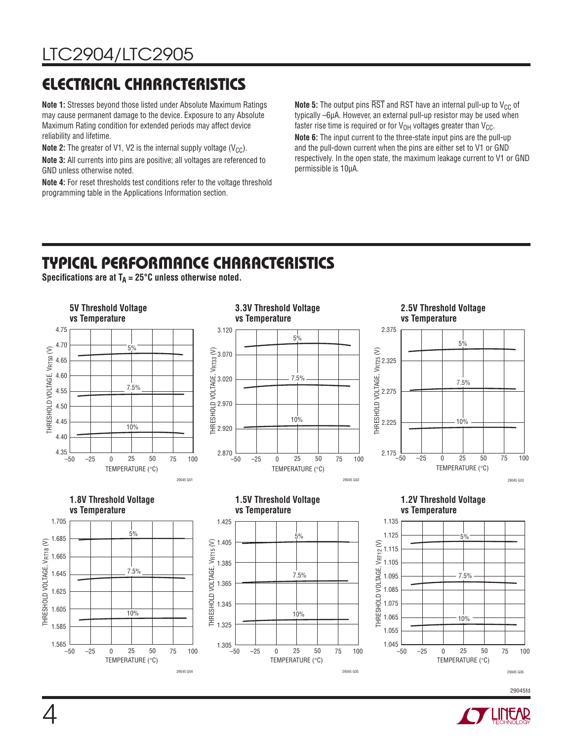# **ELECTRICAL CHARACTERISTICS**

**Note 1:** Stresses beyond those listed under Absolute Maximum Ratings may cause permanent damage to the device. Exposure to any Absolute Maximum Rating condition for extended periods may affect device reliability and lifetime.

**Note 2:** The greater of V1, V2 is the internal supply voltage  $(V_{CC})$ .

**Note 3:** All currents into pins are positive; all voltages are referenced to GND unless otherwise noted.

**Note 4:** For reset thresholds test conditions refer to the voltage threshold programming table in the Applications Information section.

**Note 5:** The output pins  $\overline{RST}$  and RST have an internal pull-up to  $V_{CC}$  of typically –6μA. However, an external pull-up resistor may be used when faster rise time is required or for  $V_{OH}$  voltages greater than  $V_{CC}$ .

**Note 6:** The input current to the three-state input pins are the pull-up and the pull-down current when the pins are either set to V1 or GND respectively. In the open state, the maximum leakage current to V1 or GND permissible is 10μA.

# **TYPICAL PERFORMANCE CHARACTERISTICS**

Specifications are at  $T_A = 25^\circ \text{C}$  unless otherwise noted.



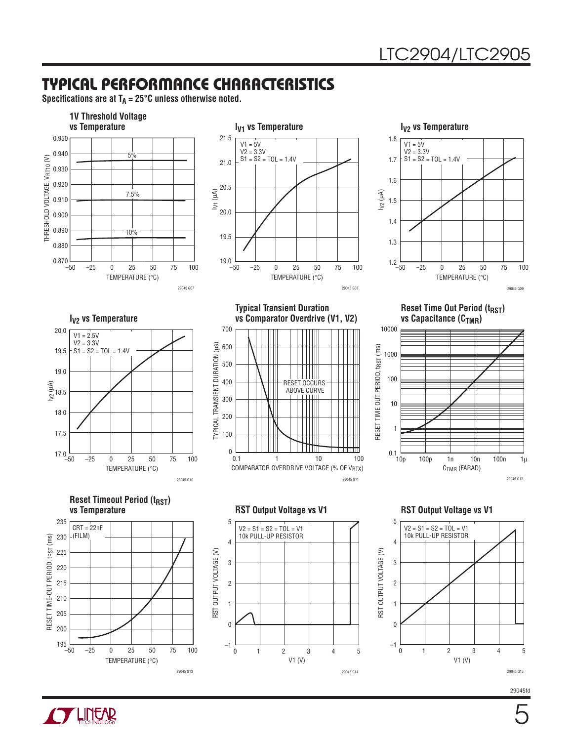### **TYPICAL PERFORMANCE CHARACTERISTICS**

Specifications are at  $T_A = 25^\circ \text{C}$  unless otherwise noted.





**Typical Transient Duration** 



**I<sub>V2</sub>** vs Temperature



**vs Comparator Overdrive (V1, V2)** 700 600 500 Ш 400 RESET OCCURS ABOVE CURVE 300 200

COMPARATOR OVERDRIVE VOLTAGE (% OF VRTX)

1 10 100

29045 G11

**Reset Time Out Period (t<sub>RST</sub>) vs Capacitance (C<sub>TMR</sub>)** 



**Reset Timeout Period (t<sub>RST</sub>)**<br>vs Temperature



 $0.1$ 

100  $\Omega$ 

TYPICAL TRANSIENT DURATION (us)

TYPICAL TRANSIENT DURATION (µs)



#### **RST** Output Voltage vs V1 RST Output Voltage vs V1



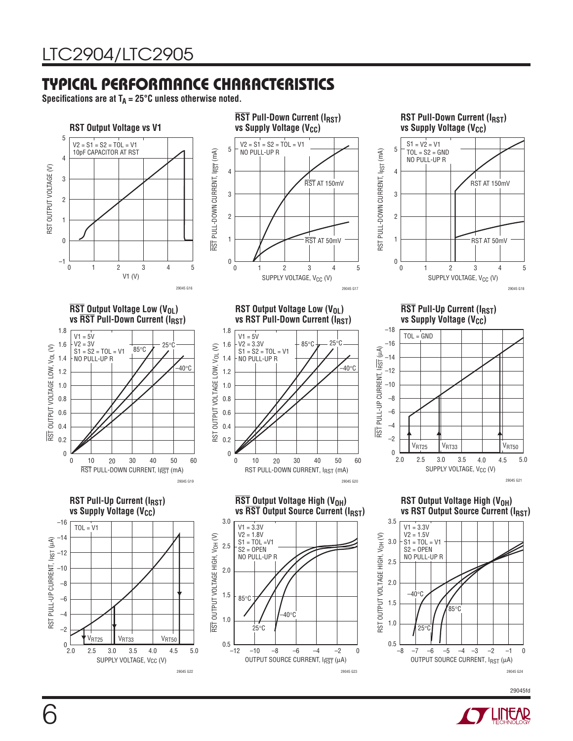### **TYPICAL PERFORMANCE CHARACTERISTICS**

29045 G22

Specifications are at  $T_A = 25^\circ \text{C}$  unless otherwise noted.



29045 G23

29045fd

29045 G24

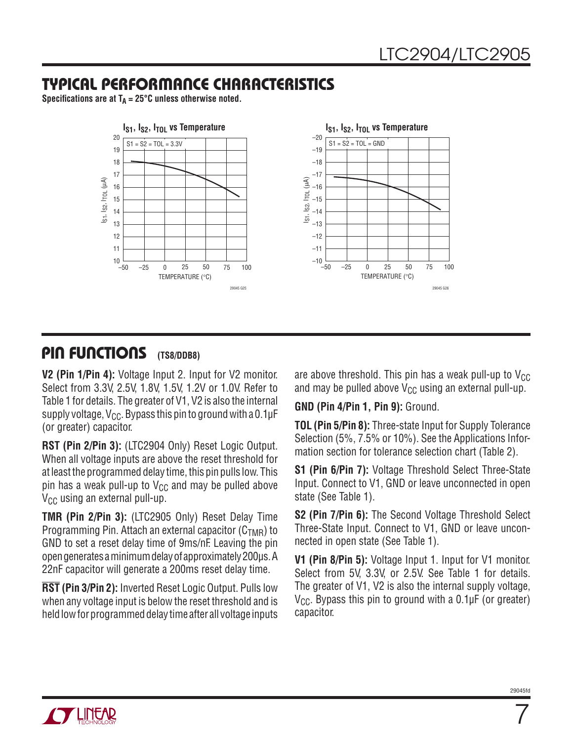### **TYPICAL PERFORMANCE CHARACTERISTICS**

Specifications are at  $T_A = 25^\circ \text{C}$  unless otherwise noted.



#### **PIN FUNCTIONS (TS8/DDB8)**

**V2 (Pin 1/Pin 4):** Voltage Input 2. Input for V2 monitor. Select from 3.3V, 2.5V, 1.8V, 1.5V, 1.2V or 1.0V. Refer to Table 1 for details. The greater of V1, V2 is also the internal supply voltage,  $V_{CC}$ . Bypass this pin to ground with a 0.1 $\mu$ F (or greater) capacitor.

**RST (Pin 2/Pin 3):** (LTC2904 Only) Reset Logic Output. When all voltage inputs are above the reset threshold for at least the programmed delay time, this pin pulls low. This pin has a weak pull-up to  $V_{CC}$  and may be pulled above  $V_{CC}$  using an external pull-up.

**TMR (Pin 2/Pin 3):** (LTC2905 Only) Reset Delay Time Programming Pin. Attach an external capacitor  $(C_{TMR})$  to GND to set a reset delay time of 9ms/nF. Leaving the pin open generates a minimum delay of approximately 200μs. A 22nF capacitor will generate a 200ms reset delay time.

**RST (Pin 3/Pin 2):** Inverted Reset Logic Output. Pulls low when any voltage input is below the reset threshold and is held low for programmed delay time after all voltage inputs

are above threshold. This pin has a weak pull-up to  $V_{CC}$ and may be pulled above  $V_{CC}$  using an external pull-up.

**GND (Pin 4/Pin 1, Pin 9):** Ground.

**TOL (Pin 5/Pin 8):** Three-state Input for Supply Tolerance Selection (5%, 7.5% or 10%). See the Applications Information section for tolerance selection chart (Table 2).

**S1 (Pin 6/Pin 7):** Voltage Threshold Select Three-State Input. Connect to V1, GND or leave unconnected in open state (See Table 1).

**S2 (Pin 7/Pin 6):** The Second Voltage Threshold Select Three-State Input. Connect to V1, GND or leave unconnected in open state (See Table 1).

**V1 (Pin 8/Pin 5):** Voltage Input 1. Input for V1 monitor. Select from 5V, 3.3V, or 2.5V. See Table 1 for details. The greater of V1, V2 is also the internal supply voltage,  $V_{\text{CC}}$ . Bypass this pin to ground with a 0.1µF (or greater) capacitor.



7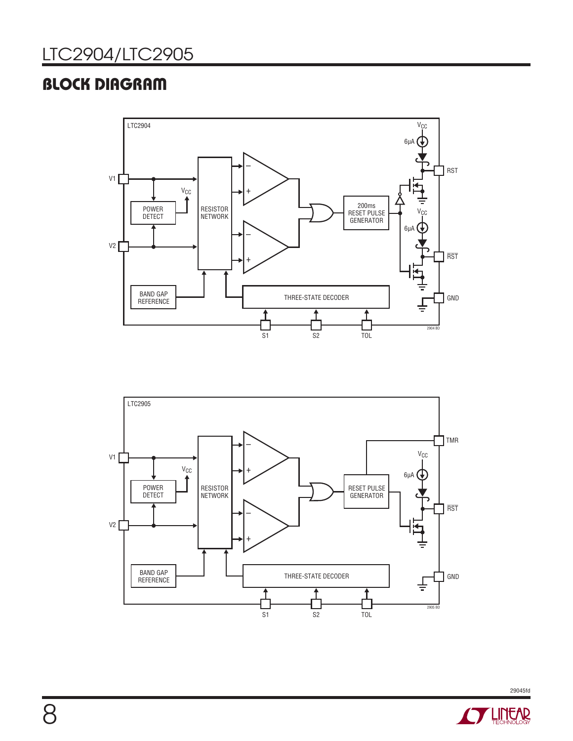### **BLOCK DIAGRAM**





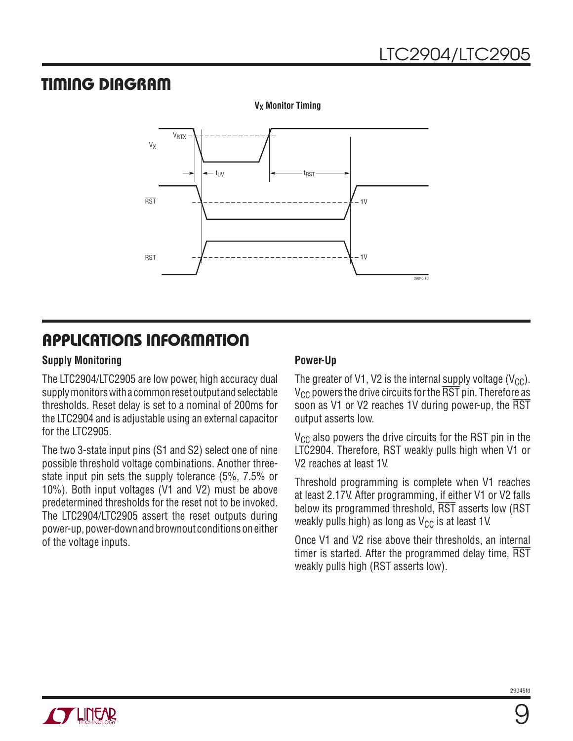### **TIMING DIAGRAM**



**V<sub>X</sub>** Monitor Timing

### **APPLICATIONS INFORMATION**

#### **Supply Monitoring**

The LTC2904/LTC2905 are low power, high accuracy dual supply monitors with a common reset output and selectable thresholds. Reset delay is set to a nominal of 200ms for the LTC2904 and is adjustable using an external capacitor for the LTC2905.

The two 3-state input pins (S1 and S2) select one of nine possible threshold voltage combinations. Another threestate input pin sets the supply tolerance (5%, 7.5% or 10%). Both input voltages (V1 and V2) must be above predetermined thresholds for the reset not to be invoked. The LTC2904/LTC2905 assert the reset outputs during power-up, power-down and brownout conditions on either of the voltage inputs.

### **Power-Up**

The greater of V1, V2 is the internal supply voltage (V<sub>CC</sub>).  $V_{CC}$  powers the drive circuits for the  $\overline{RST}$  pin. Therefore as soon as V1 or V2 reaches 1V during power-up, the RST output asserts low.

 $V_{CC}$  also powers the drive circuits for the RST pin in the LTC2904. Therefore, RST weakly pulls high when V1 or V2 reaches at least 1V.

Threshold programming is complete when V1 reaches at least 2.17V. After programming, if either V1 or V2 falls below its programmed threshold, RST asserts low (RST weakly pulls high) as long as  $V_{CC}$  is at least 1V.

Once V1 and V2 rise above their thresholds, an internal timer is started. After the programmed delay time, RST weakly pulls high (RST asserts low).

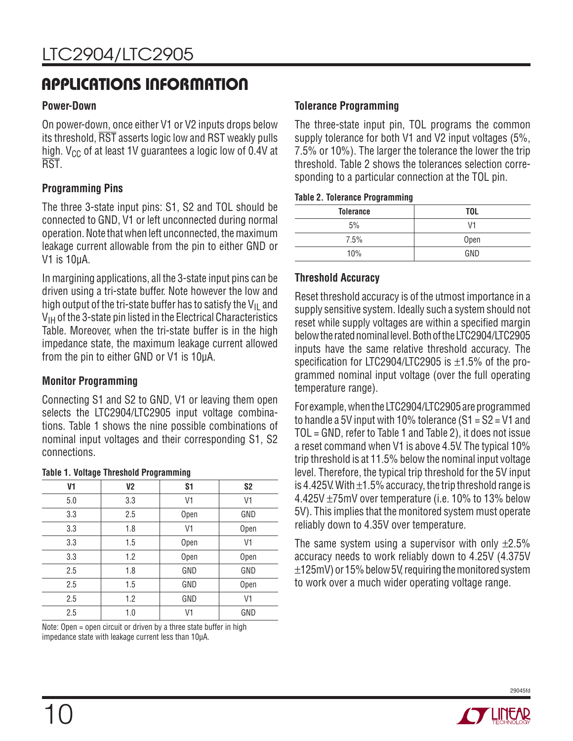### **APPLICATIONS INFORMATION**

#### **Power-Down**

On power-down, once either V1 or V2 inputs drops below its threshold, RST asserts logic low and RST weakly pulls high.  $V_{CC}$  of at least 1V guarantees a logic low of 0.4V at RST.

### **Programming Pins**

The three 3-state input pins: S1, S2 and TOL should be connected to GND, V1 or left unconnected during normal operation. Note that when left unconnected, the maximum leakage current allowable from the pin to either GND or V1 is 10μA.

In margining applications, all the 3-state input pins can be driven using a tri-state buffer. Note however the low and high output of the tri-state buffer has to satisfy the  $V_{II}$  and  $V_{IH}$  of the 3-state pin listed in the Electrical Characteristics Table. Moreover, when the tri-state buffer is in the high impedance state, the maximum leakage current allowed from the pin to either GND or V1 is 10μA.

### **Monitor Programming**

Connecting S1 and S2 to GND, V1 or leaving them open selects the LTC2904/LTC2905 input voltage combinations. Table 1 shows the nine possible combinations of nominal input voltages and their corresponding S1, S2 connections.

| $\overline{\phantom{a}}$<br>--- | ت -            |                |                |
|---------------------------------|----------------|----------------|----------------|
| V1                              | V <sub>2</sub> | S <sub>1</sub> | S <sub>2</sub> |
| 5.0                             | 3.3            | V1             | V1             |
| 3.3                             | 2.5            | Open           | GND            |
| 3.3                             | 1.8            | V1             | Open           |
| 3.3                             | 1.5            | Open           | V1             |
| 3.3                             | 1.2            | Open           | Open           |
| 2.5                             | 1.8            | GND            | GND            |
| 2.5                             | 1.5            | GND            | Open           |
| 2.5                             | 1.2            | GND            | V1             |
| 2.5                             | 1.0            | V1             | GND            |

#### **Table 1. Voltage Threshold Programming**

Note: Open = open circuit or driven by a three state buffer in high impedance state with leakage current less than 10μA.

#### **Tolerance Programming**

The three-state input pin, TOL programs the common supply tolerance for both V1 and V2 input voltages (5%, 7.5% or 10%). The larger the tolerance the lower the trip threshold. Table 2 shows the tolerances selection corresponding to a particular connection at the TOL pin.

#### **Table 2. Tolerance Programming**

| <b>Tolerance</b> | <b>TOL</b> |
|------------------|------------|
| 5%               | V1         |
| 7.5%             | Open       |
| 10%              | GND        |

#### **Threshold Accuracy**

Reset threshold accuracy is of the utmost importance in a supply sensitive system. Ideally such a system should not reset while supply voltages are within a specified margin below the rated nominal level. Both of the LTC2904/LTC2905 inputs have the same relative threshold accuracy. The specification for LTC2904/LTC2905 is  $\pm 1.5$ % of the programmed nominal input voltage (over the full operating temperature range).

For example, when the LTC2904/LTC2905 are programmed to handle a 5V input with 10% tolerance (S1 = S2 = V1 and TOL = GND, refer to Table 1 and Table 2), it does not issue a reset command when V1 is above 4.5V. The typical 10% trip threshold is at 11.5% below the nominal input voltage level. Therefore, the typical trip threshold for the 5V input is 4.425V. With  $\pm$ 1.5% accuracy, the trip threshold range is 4.425V ±75mV over temperature (i.e. 10% to 13% below 5V). This implies that the monitored system must operate reliably down to 4.35V over temperature.

The same system using a supervisor with only  $\pm 2.5\%$ accuracy needs to work reliably down to 4.25V (4.375V ±125mV) or 15% below 5V, requiring the monitored system to work over a much wider operating voltage range.

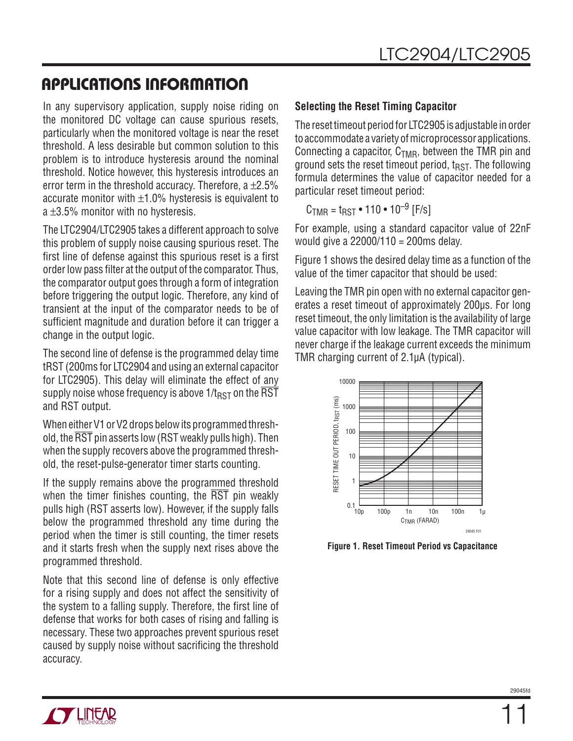### **APPLICATIONS INFORMATION**

In any supervisory application, supply noise riding on the monitored DC voltage can cause spurious resets, particularly when the monitored voltage is near the reset threshold. A less desirable but common solution to this problem is to introduce hysteresis around the nominal threshold. Notice however, this hysteresis introduces an error term in the threshold accuracy. Therefore, a  $\pm 2.5\%$ accurate monitor with  $\pm 1.0$ % hysteresis is equivalent to a  $\pm$ 3.5% monitor with no hysteresis.

The LTC2904/LTC2905 takes a different approach to solve this problem of supply noise causing spurious reset. The first line of defense against this spurious reset is a first order low pass filter at the output of the comparator. Thus, the comparator output goes through a form of integration before triggering the output logic. Therefore, any kind of transient at the input of the comparator needs to be of sufficient magnitude and duration before it can trigger a change in the output logic.

The second line of defense is the programmed delay time tRST (200ms for LTC2904 and using an external capacitor for LTC2905). This delay will eliminate the effect of any supply noise whose frequency is above  $1/t_{RST}$  on the RST and RST output.

When either V1 or V2 drops below its programmed threshold, the RST pin asserts low (RST weakly pulls high). Then when the supply recovers above the programmed threshold, the reset-pulse-generator timer starts counting.

If the supply remains above the programmed threshold when the timer finishes counting, the  $\overline{RST}$  pin weakly pulls high (RST asserts low). However, if the supply falls below the programmed threshold any time during the period when the timer is still counting, the timer resets and it starts fresh when the supply next rises above the programmed threshold.

Note that this second line of defense is only effective for a rising supply and does not affect the sensitivity of the system to a falling supply. Therefore, the first line of defense that works for both cases of rising and falling is necessary. These two approaches prevent spurious reset caused by supply noise without sacrificing the threshold accuracy.

### **Selecting the Reset Timing Capacitor**

The reset timeout period for LTC2905 is adjustable in order to accommodate a variety of microprocessor applications. Connecting a capacitor,  $C_{TMR}$ , between the TMR pin and ground sets the reset timeout period,  $t_{RST}$ . The following formula determines the value of capacitor needed for a particular reset timeout period:

 $C_{TMR} = t_{RST} \cdot 110 \cdot 10^{-9}$  [F/s]

For example, using a standard capacitor value of 22nF would give a 22000/110 = 200ms delay.

Figure 1 shows the desired delay time as a function of the value of the timer capacitor that should be used:

Leaving the TMR pin open with no external capacitor generates a reset timeout of approximately 200μs. For long reset timeout, the only limitation is the availability of large value capacitor with low leakage. The TMR capacitor will never charge if the leakage current exceeds the minimum TMR charging current of 2.1μA (typical).



**Figure 1. Reset Timeout Period vs Capacitance**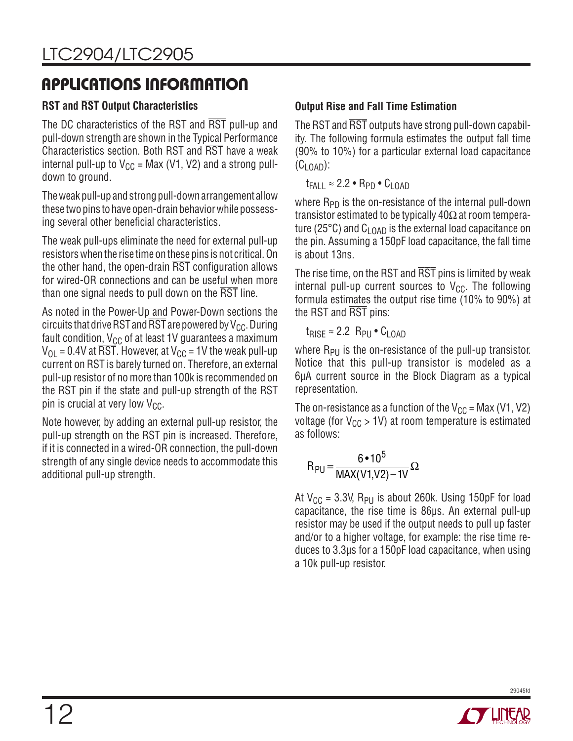### **APPLICATIONS INFORMATION**

### **RST and RST Output Characteristics**

The DC characteristics of the RST and RST pull-up and pull-down strength are shown in the Typical Performance Characteristics section. Both RST and RST have a weak internal pull-up to  $V_{CC}$  = Max (V1, V2) and a strong pulldown to ground.

The weak pull-up and strong pull-down arrangement allow these two pins to have open-drain behavior while possessing several other beneficial characteristics.

The weak pull-ups eliminate the need for external pull-up resistors when the rise time on these pins is not critical. On the other hand, the open-drain  $\overline{\text{RST}}$  configuration allows for wired-OR connections and can be useful when more than one signal needs to pull down on the  $\overline{\text{RST}}$  line.

As noted in the Power-Up and Power-Down sections the circuits that drive RST and  $\overline{\text{RST}}$  are powered by V<sub>CC</sub>. During fault condition,  $V_{CC}$  of at least 1V guarantees a maximum  $V_{\text{OL}} = 0.4V$  at  $\overline{\text{RST}}$ . However, at  $V_{\text{CC}} = 1V$  the weak pull-up current on RST is barely turned on. Therefore, an external pull-up resistor of no more than 100k is recommended on the RST pin if the state and pull-up strength of the RST pin is crucial at very low  $V_{CC}$ .

Note however, by adding an external pull-up resistor, the pull-up strength on the RST pin is increased. Therefore, if it is connected in a wired-OR connection, the pull-down strength of any single device needs to accommodate this additional pull-up strength.

### **Output Rise and Fall Time Estimation**

The RST and RST outputs have strong pull-down capability. The following formula estimates the output fall time (90% to 10%) for a particular external load capacitance  $(C<sub>1</sub>$   $(0)$ :

 $t_{FAll} \approx 2.2 \cdot R_{PD} \cdot C_{LOAD}$ 

where  $R_{PD}$  is the on-resistance of the internal pull-down transistor estimated to be typically 40Ω at room temperature (25 $\degree$ C) and C<sub>LOAD</sub> is the external load capacitance on the pin. Assuming a 150pF load capacitance, the fall time is about 13ns.

The rise time, on the RST and RST pins is limited by weak internal pull-up current sources to  $V_{CC}$ . The following formula estimates the output rise time (10% to 90%) at the RST and RST pins:

 $t_{RISF} \approx 2.2$  R<sub>PU</sub> • C<sub>LOAD</sub>

where  $R_{PI}$  is the on-resistance of the pull-up transistor. Notice that this pull-up transistor is modeled as a 6μA current source in the Block Diagram as a typical representation.

The on-resistance as a function of the  $V_{CC}$  = Max (V1, V2) voltage (for  $V_{CC}$  > 1V) at room temperature is estimated as follows:

$$
R_{PU} = \frac{6 \cdot 10^5}{MAX(V1,V2) - 1V} \Omega
$$

At  $V_{CC}$  = 3.3V, R<sub>PU</sub> is about 260k. Using 150pF for load capacitance, the rise time is 86μs. An external pull-up resistor may be used if the output needs to pull up faster and/or to a higher voltage, for example: the rise time reduces to 3.3μs for a 150pF load capacitance, when using a 10k pull-up resistor.

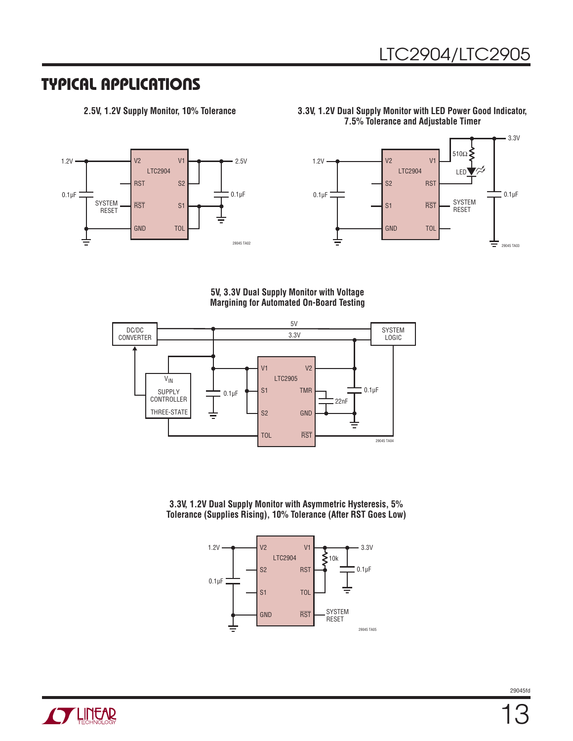### **TYPICAL APPLICATIONS**



**2.5V, 1.2V Supply Monitor, 10% Tolerance 3.3V, 1.2V Dual Supply Monitor with LED Power Good Indicator, 7.5% Tolerance and Adjustable Timer**



**5V, 3.3V Dual Supply Monitor with Voltage Margining for Automated On-Board Testing**



**3.3V, 1.2V Dual Supply Monitor with Asymmetric Hysteresis, 5% Tolerance (Supplies Rising), 10% Tolerance (After RST Goes Low)**

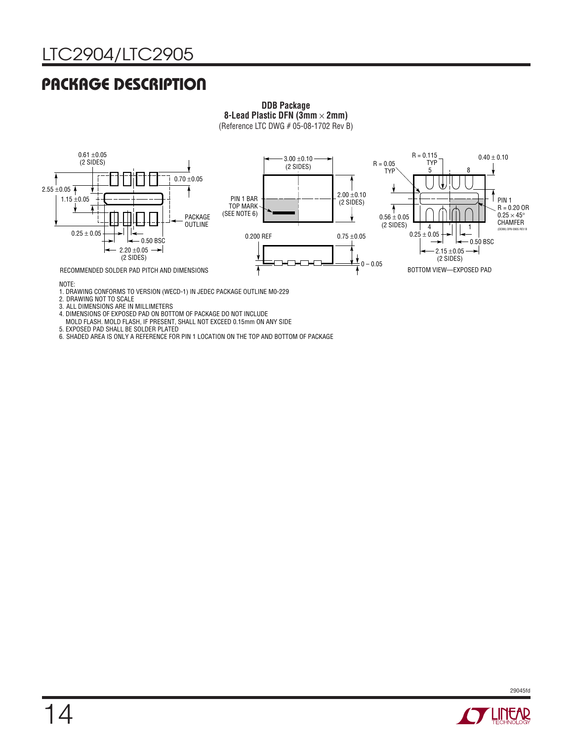### **PACKAGE DESCRIPTION**

#### **DDB Package 8-Lead Plastic DFN (3mm** × **2mm)** (Reference LTC DWG # 05-08-1702 Rev B)



1. DRAWING CONFORMS TO VERSION (WECD-1) IN JEDEC PACKAGE OUTLINE M0-229

2. DRAWING NOT TO SCALE

3. ALL DIMENSIONS ARE IN MILLIMETERS

4. DIMENSIONS OF EXPOSED PAD ON BOTTOM OF PACKAGE DO NOT INCLUDE

MOLD FLASH. MOLD FLASH, IF PRESENT, SHALL NOT EXCEED 0.15mm ON ANY SIDE

5. EXPOSED PAD SHALL BE SOLDER PLATED

6. SHADED AREA IS ONLY A REFERENCE FOR PIN 1 LOCATION ON THE TOP AND BOTTOM OF PACKAGE



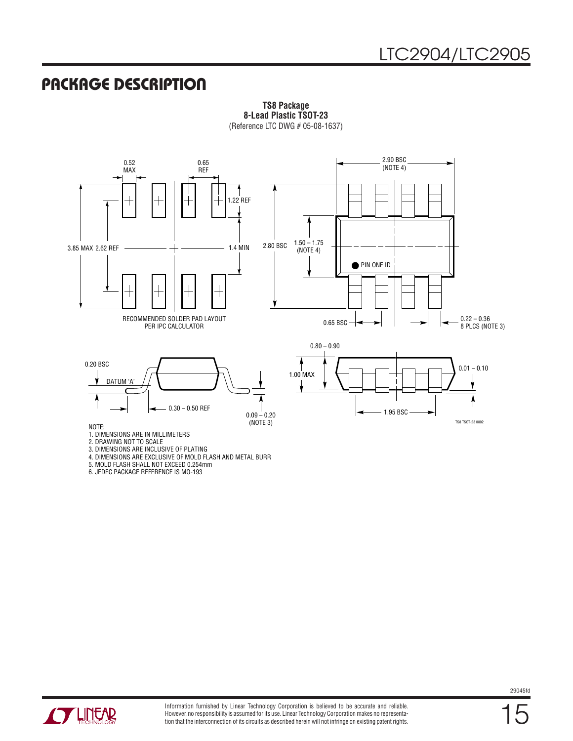### **PACKAGE DESCRIPTION**



**TS8 Package 8-Lead Plastic TSOT-23** (Reference LTC DWG # 05-08-1637)

3. DIMENSIONS ARE INCLUSIVE OF PLATING

4. DIMENSIONS ARE EXCLUSIVE OF MOLD FLASH AND METAL BURR

5. MOLD FLASH SHALL NOT EXCEED 0.254mm

6. JEDEC PACKAGE REFERENCE IS MO-193